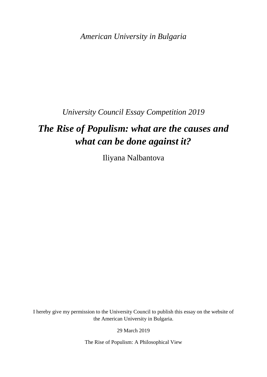*American University in Bulgaria*

*University Council Essay Competition 2019*

## *The Rise of Populism: what are the causes and what can be done against it?*

Iliyana Nalbantova

I hereby give my permission to the University Council to publish this essay on the website of the American University in Bulgaria.

29 March 2019

The Rise of Populism: A Philosophical View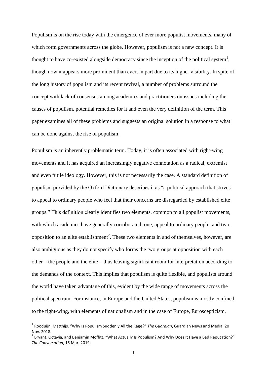Populism is on the rise today with the emergence of ever more populist movements, many of which form governments across the globe. However, populism is not a new concept. It is thought to have co-existed alongside democracy since the inception of the political system<sup>1</sup>, though now it appears more prominent than ever, in part due to its higher visibility. In spite of the long history of populism and its recent revival, a number of problems surround the concept with lack of consensus among academics and practitioners on issues including the causes of populism, potential remedies for it and even the very definition of the term. This paper examines all of these problems and suggests an original solution in a response to what can be done against the rise of populism.

Populism is an inherently problematic term. Today, it is often associated with right-wing movements and it has acquired an increasingly negative connotation as a radical, extremist and even futile ideology. However, this is not necessarily the case. A standard definition of populism provided by the Oxford Dictionary describes it as "a political approach that strives to appeal to ordinary people who feel that their concerns are disregarded by established elite groups." This definition clearly identifies two elements, common to all populist movements, with which academics have generally corroborated: one, appeal to ordinary people, and two, opposition to an elite establishment<sup>2</sup>. These two elements in and of themselves, however, are also ambiguous as they do not specify who forms the two groups at opposition with each other – the people and the elite – thus leaving significant room for interpretation according to the demands of the context. This implies that populism is quite flexible, and populists around the world have taken advantage of this, evident by the wide range of movements across the political spectrum. For instance, in Europe and the United States, populism is mostly confined to the right-wing, with elements of nationalism and in the case of Europe, Euroscepticism,

<sup>1</sup> Rooduijn, Matthijs. "Why Is Populism Suddenly All the Rage?" *The Guardian*, Guardian News and Media, 20 Nov. 2018.

<sup>&</sup>lt;sup>2</sup> Bryant, Octavia, and Benjamin Moffitt. "What Actually Is Populism? And Why Does It Have a Bad Reputation?" *The Conversation*, 15 Mar. 2019.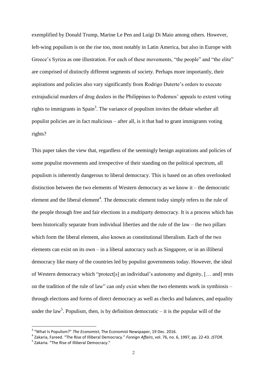exemplified by Donald Trump, Marine Le Pen and Luigi Di Maio among others. However, left-wing populism is on the rise too, most notably in Latin America, but also in Europe with Greece's Syriza as one illustration. For each of these movements, "the people" and "the elite" are comprised of distinctly different segments of society. Perhaps more importantly, their aspirations and policies also vary significantly from Rodrigo Duterte's orders to execute extrajudicial murders of drug dealers in the Philippines to Podemos' appeals to extent voting rights to immigrants in Spain<sup>3</sup>. The variance of populism invites the debate whether all populist policies are in fact malicious – after all, is it that bad to grant immigrants voting rights?

This paper takes the view that, regardless of the seemingly benign aspirations and policies of some populist movements and irrespective of their standing on the political spectrum, all populism is inherently dangerous to liberal democracy. This is based on an often overlooked distinction between the two elements of Western democracy as we know it – the democratic element and the liberal element<sup>4</sup>. The democratic element today simply refers to the rule of the people through free and fair elections in a multiparty democracy. It is a process which has been historically separate from individual liberties and the rule of the law – the two pillars which form the liberal element, also known as constitutional liberalism. Each of the two elements can exist on its own – in a liberal autocracy such as Singapore, or in an illiberal democracy like many of the countries led by populist governments today. However, the ideal of Western democracy which "protect[s] an individual's autonomy and dignity, [… and] rests on the tradition of the rule of law" can only exist when the two elements work in symbiosis – through elections and forms of direct democracy as well as checks and balances, and equality under the law<sup>5</sup>. Populism, then, is by definition democratic  $-$  it is the popular will of the

**.** 

<sup>3</sup> "What Is Populism?" *The Economist*, The Economist Newspaper, 19 Dec. 2016.

<sup>4</sup> Zakaria, Fareed. "The Rise of Illiberal Democracy." *Foreign Affairs*, vol. 76, no. 6, 1997, pp. 22-43. *JSTOR*.

<sup>&</sup>lt;sup>5</sup> Zakaria. "The Rise of Illiberal Democracy."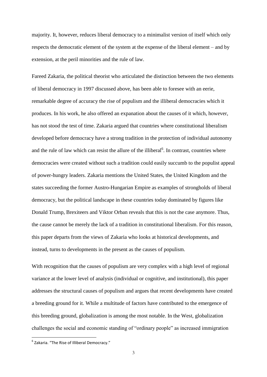majority. It, however, reduces liberal democracy to a minimalist version of itself which only respects the democratic element of the system at the expense of the liberal element – and by extension, at the peril minorities and the rule of law.

Fareed Zakaria, the political theorist who articulated the distinction between the two elements of liberal democracy in 1997 discussed above, has been able to foresee with an eerie, remarkable degree of accuracy the rise of populism and the illiberal democracies which it produces. In his work, he also offered an expanation about the causes of it which, however, has not stood the test of time. Zakaria argued that countries where constitutional liberalism developed before democracy have a strong tradition in the protection of individual autonomy and the rule of law which can resist the allure of the illiberal<sup>6</sup>. In contrast, countries where democracies were created without such a tradition could easily succumb to the populist appeal of power-hungry leaders. Zakaria mentions the United States, the United Kingdom and the states succeeding the former Austro-Hungarian Empire as examples of strongholds of liberal democracy, but the political landscape in these countries today dominated by figures like Donald Trump, Brexiteers and Viktor Orban reveals that this is not the case anymore. Thus, the cause cannot be merely the lack of a tradition in constitutional liberalism. For this reason, this paper departs from the views of Zakaria who looks at historical developments, and instead, turns to developments in the present as the causes of populism.

With recognition that the causes of populism are very complex with a high level of regional variance at the lower level of analysis (individual or cognitive, and institutional), this paper addresses the structural causes of populism and argues that recent developments have created a breeding ground for it. While a multitude of factors have contributed to the emergence of this breeding ground, globalization is among the most notable. In the West, globalization challenges the social and economic standing of "ordinary people" as increased immigration

 6 Zakaria. "The Rise of Illiberal Democracy."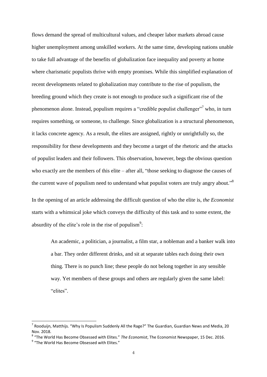flows demand the spread of multicultural values, and cheaper labor markets abroad cause higher unemployment among unskilled workers. At the same time, developing nations unable to take full advantage of the benefits of globalization face inequality and poverty at home where charismatic populists thrive with empty promises. While this simplified explanation of recent developments related to globalization may contribute to the rise of populism, the breeding ground which they create is not enough to produce such a significant rise of the phenomenon alone. Instead, populism requires a "credible populist challenger"<sup>7</sup> who, in turn requires something, or someone, to challenge. Since globalization is a structural phenomenon, it lacks concrete agency. As a result, the elites are assigned, rightly or unrightfully so, the responsibility for these developments and they become a target of the rhetoric and the attacks of populist leaders and their followers. This observation, however, begs the obvious question who exactly are the members of this elite – after all, "those seeking to diagnose the causes of the current wave of populism need to understand what populist voters are truly angry about."<sup>8</sup>

In the opening of an article addressing the difficult question of who the elite is, *the Economist* starts with a whimsical joke which conveys the difficulty of this task and to some extent, the absurdity of the elite's role in the rise of populism<sup>9</sup>:

An academic, a politician, a journalist, a film star, a nobleman and a banker walk into a bar. They order different drinks, and sit at separate tables each doing their own thing. There is no punch line; these people do not belong together in any sensible way. Yet members of these groups and others are regularly given the same label: "elites".

 $^7$  Rooduijn, Matthijs. "Why Is Populism Suddenly All the Rage?" The Guardian, Guardian News and Media, 20 Nov. 2018.

<sup>8</sup> "The World Has Become Obsessed with Elites." *The Economist*, The Economist Newspaper, 15 Dec. 2016.

<sup>&</sup>lt;sup>9</sup> "The World Has Become Obsessed with Elites."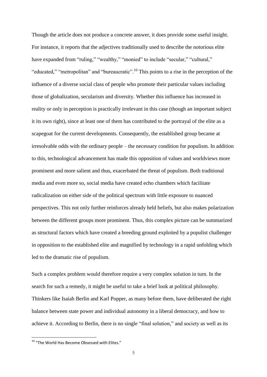Though the article does not produce a concrete answer, it does provide some useful insight. For instance, it reports that the adjectives traditionally used to describe the notorious elite have expanded from "ruling," "wealthy," "monied" to include "secular," "cultural," "educated," "metropolitan" and "bureaucratic".<sup>10</sup> This points to a rise in the perception of the influence of a diverse social class of people who promote their particular values including those of globalization, secularism and diversity. Whether this influence has increased in reality or only in perception is practically irrelevant in this case (though an important subject it its own right), since at least one of them has contributed to the portrayal of the elite as a scapegoat for the current developments. Consequently, the established group became at irresolvable odds with the ordinary people – the necessary condition for populism. In addition to this, technological advancement has made this opposition of values and worldviews more prominent and more salient and thus, exacerbated the threat of populism. Both traditional media and even more so, social media have created echo chambers which facilitate radicalization on either side of the political spectrum with little exposure to nuanced perspectives. This not only further reinforces already held beliefs, but also makes polarization between the different groups more prominent. Thus, this complex picture can be summarized as structural factors which have created a breeding ground exploited by a populist challenger in opposition to the established elite and magnified by technology in a rapid unfolding which led to the dramatic rise of populism.

Such a complex problem would therefore require a very complex solution in turn. In the search for such a remedy, it might be useful to take a brief look at political philosophy. Thinkers like Isaiah Berlin and Karl Popper, as many before them, have deliberated the right balance between state power and individual autonomy in a liberal democracy, and how to achieve it. According to Berlin, there is no single "final solution," and society as well as its

**.** 

 $10$  "The World Has Become Obsessed with Elites."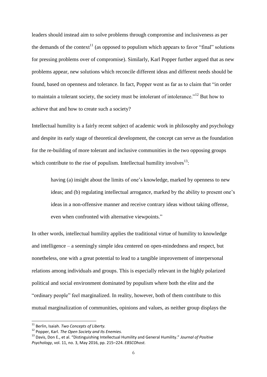leaders should instead aim to solve problems through compromise and inclusiveness as per the demands of the context<sup>11</sup> (as opposed to populism which appears to favor "final" solutions for pressing problems over of compromise). Similarly, Karl Popper further argued that as new problems appear, new solutions which reconcile different ideas and different needs should be found, based on openness and tolerance. In fact, Popper went as far as to claim that "in order to maintain a tolerant society, the society must be intolerant of intolerance."<sup>12</sup> But how to achieve that and how to create such a society?

Intellectual humility is a fairly recent subject of academic work in philosophy and psychology and despite its early stage of theoretical development, the concept can serve as the foundation for the re-building of more tolerant and inclusive communities in the two opposing groups which contribute to the rise of populism. Intellectual humility involves $^{13}$ :

having (a) insight about the limits of one's knowledge, marked by openness to new ideas; and (b) regulating intellectual arrogance, marked by the ability to present one's ideas in a non-offensive manner and receive contrary ideas without taking offense, even when confronted with alternative viewpoints."

In other words, intellectual humility applies the traditional virtue of humility to knowledge and intelligence – a seemingly simple idea centered on open-mindedness and respect, but nonetheless, one with a great potential to lead to a tangible improvement of interpersonal relations among individuals and groups. This is especially relevant in the highly polarized political and social environment dominated by populism where both the elite and the "ordinary people" feel marginalized. In reality, however, both of them contribute to this mutual marginalization of communities, opinions and values, as neither group displays the

<sup>11</sup> Berlin, Isaiah. *Two Concepts of Liberty.*

<sup>12</sup> Popper, Karl. *The Open Society and Its Enemies.*

<sup>13</sup> Davis, Don E., et al. "Distinguishing Intellectual Humility and General Humility." *Journal of Positive Psychology*, vol. 11, no. 3, May 2016, pp. 215–224. *EBSCOhost.*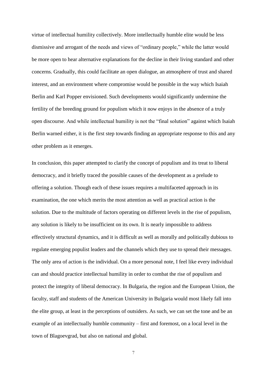virtue of intellectual humility collectively. More intellectually humble elite would be less dismissive and arrogant of the needs and views of "ordinary people," while the latter would be more open to hear alternative explanations for the decline in their living standard and other concerns. Gradually, this could facilitate an open dialogue, an atmosphere of trust and shared interest, and an environment where compromise would be possible in the way which Isaiah Berlin and Karl Popper envisioned. Such developments would significantly undermine the fertility of the breeding ground for populism which it now enjoys in the absence of a truly open discourse. And while intellectual humility is not the "final solution" against which Isaiah Berlin warned either, it is the first step towards finding an appropriate response to this and any other problem as it emerges.

In conclusion, this paper attempted to clarify the concept of populism and its treat to liberal democracy, and it briefly traced the possible causes of the development as a prelude to offering a solution. Though each of these issues requires a multifaceted approach in its examination, the one which merits the most attention as well as practical action is the solution. Due to the multitude of factors operating on different levels in the rise of populism, any solution is likely to be insufficient on its own. It is nearly impossible to address effectively structural dynamics, and it is difficult as well as morally and politically dubious to regulate emerging populist leaders and the channels which they use to spread their messages. The only area of action is the individual. On a more personal note, I feel like every individual can and should practice intellectual humility in order to combat the rise of populism and protect the integrity of liberal democracy. In Bulgaria, the region and the European Union, the faculty, staff and students of the American University in Bulgaria would most likely fall into the elite group, at least in the perceptions of outsiders. As such, we can set the tone and be an example of an intellectually humble community – first and foremost, on a local level in the town of Blagoevgrad, but also on national and global.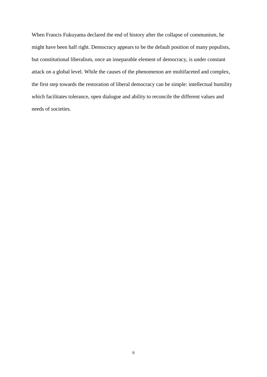When Francis Fukuyama declared the end of history after the collapse of communism, he might have been half right. Democracy appears to be the default position of many populists, but constitutional liberalism, once an inseparable element of democracy, is under constant attack on a global level. While the causes of the phenomenon are multifaceted and complex, the first step towards the restoration of liberal democracy can be simple: intellectual humility which facilitates tolerance, open dialogue and ability to reconcile the different values and needs of societies.